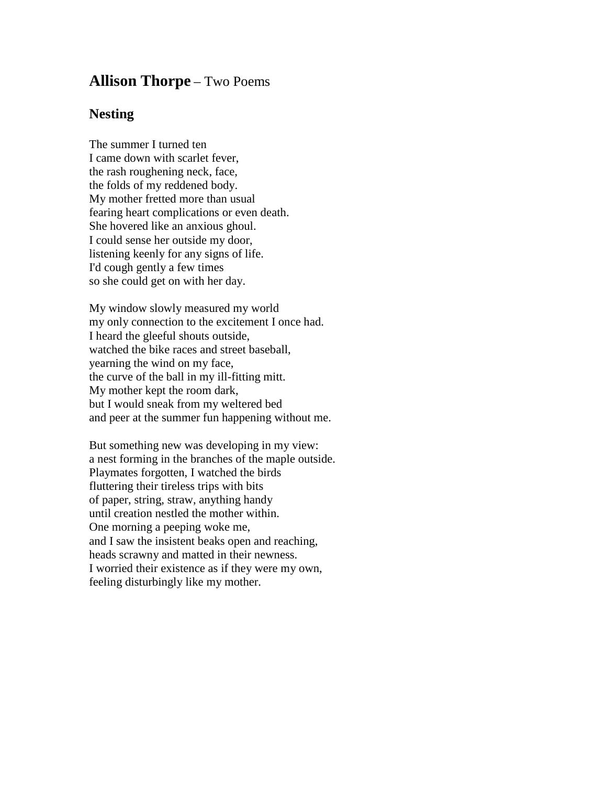## **Allison Thorpe** – Two Poems

## **Nesting**

The summer I turned ten I came down with scarlet fever, the rash roughening neck, face, the folds of my reddened body. My mother fretted more than usual fearing heart complications or even death. She hovered like an anxious ghoul. I could sense her outside my door, listening keenly for any signs of life. I'd cough gently a few times so she could get on with her day.

My window slowly measured my world my only connection to the excitement I once had. I heard the gleeful shouts outside, watched the bike races and street baseball, yearning the wind on my face, the curve of the ball in my ill-fitting mitt. My mother kept the room dark, but I would sneak from my weltered bed and peer at the summer fun happening without me.

But something new was developing in my view: a nest forming in the branches of the maple outside. Playmates forgotten, I watched the birds fluttering their tireless trips with bits of paper, string, straw, anything handy until creation nestled the mother within. One morning a peeping woke me, and I saw the insistent beaks open and reaching, heads scrawny and matted in their newness. I worried their existence as if they were my own, feeling disturbingly like my mother.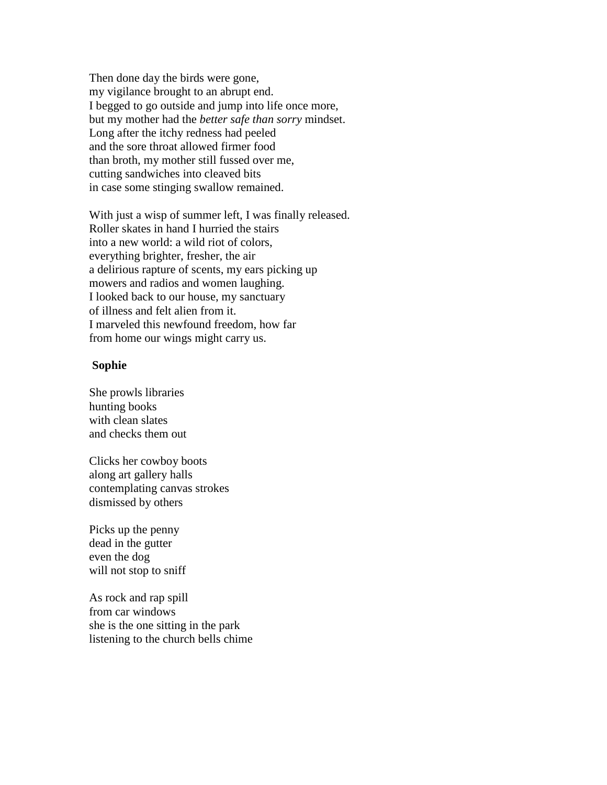Then done day the birds were gone, my vigilance brought to an abrupt end. I begged to go outside and jump into life once more, but my mother had the *better safe than sorry* mindset. Long after the itchy redness had peeled and the sore throat allowed firmer food than broth, my mother still fussed over me, cutting sandwiches into cleaved bits in case some stinging swallow remained.

With just a wisp of summer left, I was finally released. Roller skates in hand I hurried the stairs into a new world: a wild riot of colors, everything brighter, fresher, the air a delirious rapture of scents, my ears picking up mowers and radios and women laughing. I looked back to our house, my sanctuary of illness and felt alien from it. I marveled this newfound freedom, how far from home our wings might carry us.

## **Sophie**

She prowls libraries hunting books with clean slates and checks them out

Clicks her cowboy boots along art gallery halls contemplating canvas strokes dismissed by others

Picks up the penny dead in the gutter even the dog will not stop to sniff

As rock and rap spill from car windows she is the one sitting in the park listening to the church bells chime